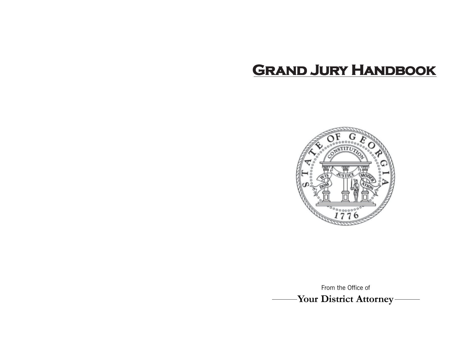# **GRAND JURY HANDBOOK**



**Your District Attorney** From the Office of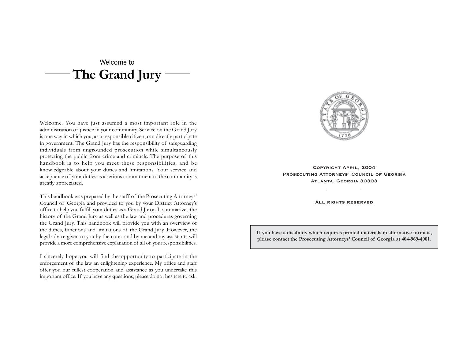## **The Grand Jury** Welcome to

Welcome. You have just assumed a most important role in the administration of justice in your community. Service on the Grand Jury is one way in which you, as a responsible citizen, can directly participate in government. The Grand Jury has the responsibility of safeguarding individuals from ungrounded prosecution while simultaneously protecting the public from crime and criminals. The purpose of this handbook is to help you meet these responsibilities, and be knowledgeable about your duties and limitations. Your service and acceptance of your duties as a serious commitment to the community is greatly appreciated.

This handbook was prepared by the staff of the Prosecuting Attorneys' Council of Georgia and provided to you by your District Attorney's office to help you fulfill your duties as a Grand Juror. It summarizes the history of the Grand Jury as well as the law and procedures governing the Grand Jury. This handbook will provide you with an overview of the duties, functions and limitations of the Grand Jury. However, the legal advice given to you by the court and by me and my assistants will provide a more comprehensive explanation of all of your responsibilities.

I sincerely hope you will find the opportunity to participate in the enforcement of the law an enlightening experience. My office and staff offer you our fullest cooperation and assistance as you undertake this important office. If you have any questions, please do not hesitate to ask.



**Copyright April, 2004 Prosecuting Attorneys' Council of Georgia Atlanta, Georgia 30303**

**All rights reserved**

**If you have a disability which requires printed materials in alternative formats, please contact the Prosecuting Attorneys' Council of Georgia at 404-969-4001.**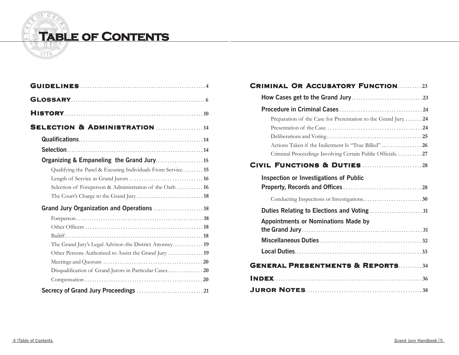

| <b>SELECTION &amp; ADMINISTRATION 14</b>                   |  |
|------------------------------------------------------------|--|
|                                                            |  |
|                                                            |  |
|                                                            |  |
| Qualifying the Panel & Excusing Individuals From Service15 |  |
|                                                            |  |
| Selection of Foreperson & Administration of the Oath  16   |  |
|                                                            |  |
| Grand Jury Organization and Operations  18                 |  |
|                                                            |  |
|                                                            |  |
|                                                            |  |
|                                                            |  |
| Other Persons Authorized to Assist the Grand Jury  19      |  |
|                                                            |  |
|                                                            |  |
|                                                            |  |
|                                                            |  |

## **Criminal Or Accusatory Function**.......... **23**

| Preparation of the Case for Presentation to the Grand Jury24 |  |
|--------------------------------------------------------------|--|
|                                                              |  |
|                                                              |  |
| Actions Taken if the Indictment Is "True Billed" 26          |  |
| Criminal Proceedings Involving Certain Public Officials27    |  |
|                                                              |  |
| <b>Inspection or Investigations of Public</b>                |  |
|                                                              |  |
|                                                              |  |
| Duties Relating to Elections and Voting 31                   |  |
| <b>Appointments or Nominations Made by</b>                   |  |
|                                                              |  |
|                                                              |  |
|                                                              |  |
| <b>GENERAL PRESENTMENTS &amp; REPORTS34</b>                  |  |
|                                                              |  |
|                                                              |  |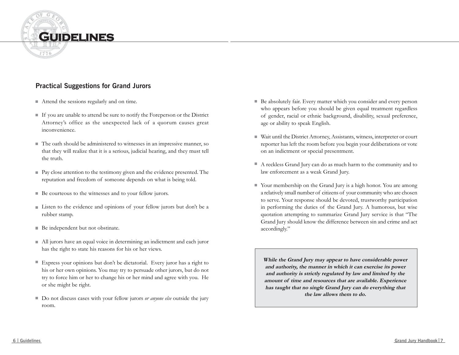

### **Practical Suggestions for Grand Jurors**

- Attend the sessions regularly and on time.
- If you are unable to attend be sure to notify the Foreperson or the District Attorney's office as the unexpected lack of a quorum causes great inconvenience.
- The oath should be administered to witnesses in an impressive manner, so that they will realize that it is a serious, judicial hearing, and they must tell the truth.
- Pay close attention to the testimony given and the evidence presented. The reputation and freedom of someone depends on what is being told.
- Be courteous to the witnesses and to your fellow jurors.
- Listen to the evidence and opinions of your fellow jurors but don't be a rubber stamp.
- Be independent but not obstinate.
- All jurors have an equal voice in determining an indictment and each juror has the right to state his reasons for his or her views.
- Express your opinions but don't be dictatorial. Every juror has a right to his or her own opinions. You may try to persuade other jurors, but do not try to force him or her to change his or her mind and agree with you. He or she might be right.
- Do not discuss cases with your fellow jurors *or anyone else* outside the jury room.
- Be absolutely fair. Every matter which you consider and every person who appears before you should be given equal treatment regardless of gender, racial or ethnic background, disability, sexual preference, age or ability to speak English.
- $\blacksquare$ Wait until the District Attorney, Assistants, witness, interpreter or court reporter has left the room before you begin your deliberations or vote on an indictment or special presentment.
- A reckless Grand Jury can do as much harm to the community and to law enforcement as a weak Grand Jury.
- Your membership on the Grand Jury is a high honor. You are among a relatively small number of citizens of your community who are chosen to serve. Your response should be devoted, trustworthy participation in performing the duties of the Grand Jury. A humorous, but wise quotation attempting to summarize Grand Jury service is that "The Grand Jury should know the difference between sin and crime and act accordingly."

**While the Grand Jury may appear to have considerable power and authority, the manner in which it can exercise its power and authority is strictly regulated by law and limited by the amount of time and resources that are available. Experience has taught that no single Grand Jury can do everything that the law allows them to do.**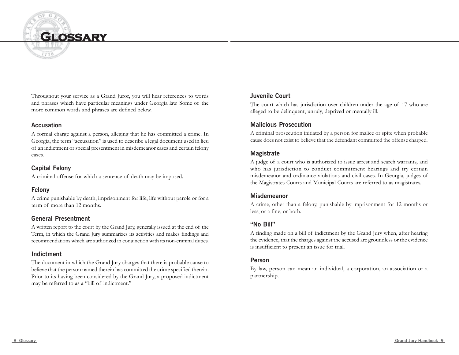

Throughout your service as a Grand Juror, you will hear references to words and phrases which have particular meanings under Georgia law. Some of the more common words and phrases are defined below.

#### **Accusation**

A formal charge against a person, alleging that he has committed a crime. In Georgia, the term "accusation" is used to describe a legal document used in lieu of an indictment or special presentment in misdemeanor cases and certain felony cases.

### **Capital Felony**

A criminal offense for which a sentence of death may be imposed.

### **Felony**

A crime punishable by death, imprisonment for life, life without parole or for a term of more than 12 months.

#### **General Presentment**

A written report to the court by the Grand Jury, generally issued at the end of the Term, in which the Grand Jury summarizes its activities and makes findings and recommendations which are authorized in conjunction with its non-criminal duties.

#### **Indictment**

The document in which the Grand Jury charges that there is probable cause to believe that the person named therein has committed the crime specified therein. Prior to its having been considered by the Grand Jury, a proposed indictment may be referred to as a "bill of indictment."

#### **Juvenile Court**

The court which has jurisdiction over children under the age of 17 who are alleged to be delinquent, unruly, deprived or mentally ill.

#### **Malicious Prosecution**

A criminal prosecution initiated by a person for malice or spite when probable cause does not exist to believe that the defendant committed the offense charged.

#### **Magistrate**

A judge of a court who is authorized to issue arrest and search warrants, and who has jurisdiction to conduct commitment hearings and try certain misdemeanor and ordinance violations and civil cases. In Georgia, judges of the Magistrates Courts and Municipal Courts are referred to as magistrates.

#### **Misdemeanor**

A crime, other than a felony, punishable by imprisonment for 12 months or less, or a fine, or both.

#### **"No Bill"**

A finding made on a bill of indictment by the Grand Jury when, after hearing the evidence, that the charges against the accused are groundless or the evidence is insufficient to present an issue for trial.

#### **Person**

By law, person can mean an individual, a corporation, an association or a partnership.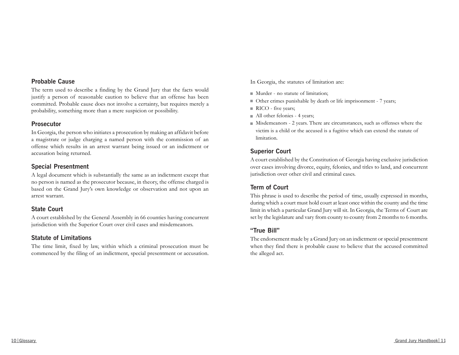#### **Probable Cause**

The term used to describe a finding by the Grand Jury that the facts would justify a person of reasonable caution to believe that an offense has been committed. Probable cause does not involve a certainty, but requires merely a probability, something more than a mere suspicion or possibility.

#### **Prosecutor**

In Georgia, the person who initiates a prosecution by making an affidavit before a magistrate or judge charging a named person with the commission of an offense which results in an arrest warrant being issued or an indictment or accusation being returned.

#### **Special Presentment**

A legal document which is substantially the same as an indictment except that no person is named as the prosecutor because, in theory, the offense charged is based on the Grand Jury's own knowledge or observation and not upon an arrest warrant.

#### **State Court**

A court established by the General Assembly in 66 counties having concurrent jurisdiction with the Superior Court over civil cases and misdemeanors.

#### **Statute of Limitations**

The time limit, fixed by law, within which a criminal prosecution must be commenced by the filing of an indictment, special presentment or accusation.

In Georgia, the statutes of limitation are:

- Murder no statute of limitation;
- Other crimes punishable by death or life imprisonment 7 years;
- RICO five years;
- All other felonies 4 years;
- Misdemeanors 2 years. There are circumstances, such as offenses where the victim is a child or the accused is a fugitive which can extend the statute of limitation.

#### **Superior Court**

A court established by the Constitution of Georgia having exclusive jurisdiction over cases involving divorce, equity, felonies, and titles to land, and concurrent jurisdiction over other civil and criminal cases.

#### **Term of Court**

This phrase is used to describe the period of time, usually expressed in months, during which a court must hold court at least once within the county and the time limit in which a particular Grand Jury will sit. In Georgia, the Terms of Court are set by the legislature and vary from county to county from 2 months to 6 months.

#### **"True Bill"**

The endorsement made by a Grand Jury on an indictment or special presentment when they find there is probable cause to believe that the accused committed the alleged act.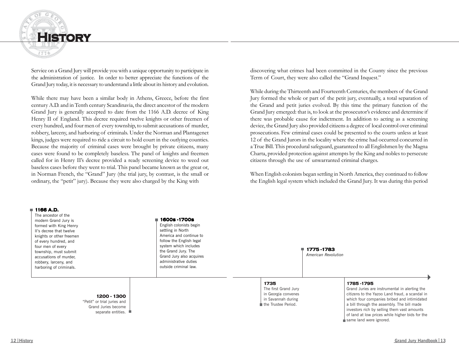

Service on a Grand Jury will provide you with a unique opportunity to participate in the administration of justice. In order to better appreciate the functions of the Grand Jury today, it is necessary to understand a little about its history and evolution.

While there may have been a similar body in Athens, Greece, before the first century A.D. and in Tenth century Scandinavia, the direct ancestor of the modern Grand Jury is generally accepted to date from the 1166 A.D. decree of King Henry II of England. This decree required twelve knights or other freemen of every hundred, and four men of every township, to submit accusations of murder, robbery, larceny, and harboring of criminals. Under the Norman and Plantagenet kings, judges were required to ride a circuit to hold court in the outlying counties. Because the majority of criminal cases were brought by private citizens, many cases were found to be completely baseless. The panel of knights and freemen called for in Henry II's decree provided a ready screening device to weed out baseless cases before they went to trial. This panel became known as the great or, in Norman French, the "Grand" Jury (the trial jury, by contrast, is the small or ordinary, the "petit" jury). Because they were also charged by the King with

discovering what crimes had been committed in the County since the previous Term of Court, they were also called the "Grand Inquest."

While during the Thirteenth and Fourteenth Centuries, the members of the Grand Jury formed the whole or part of the petit jury, eventually, a total separation of the Grand and petit juries evolved. By this time the primary function of the Grand Jury emerged: that is, to look at the prosecutor's evidence and determine if there was probable cause for indictment. In addition to acting as a screening device, the Grand Jury also provided citizens a degree of local control over criminal prosecutions. Few criminal cases could be presented to the courts unless at least 12 of the Grand Jurors in the locality where the crime had occurred concurred in a True Bill. This procedural safeguard, guaranteed to all Englishmen by the Magna Charta, provided protection against attempts by the King and nobles to persecute citizens through the use of unwarranted criminal charges.

When English colonists began settling in North America, they continued to follow the English legal system which included the Grand Jury. It was during this period

#### **1166 A.D.**

The ancestor of the modern Grand Jury is formed with King Henry II's decree that twelve knights or other freemen of every hundred, and four men of every township, must submit accusations of murder, robbery, larceny, and harboring of criminals.

English colonists begin

settling in North America and continue to follow the English legal system which includes the Grand Jury. The Grand Jury also acquires administrative duties outside criminal law.

**1600s -1700s**

**1775 -1783** *American Revolution*

#### **1735**

The first Grand Jury in Georgia convenes in Savannah during the Trustee Period.

#### **1785 -1795**

Grand Juries are instrumental in alerting the citizens to the Yazoo Land fraud, a scandal in which four companies bribed and intimidated a bill through the assembly. The bill made investors rich by selling them vast amounts of land at low prices while higher bids for the same land were ignored.

#### **1200 - 1300** "Petit" or trial juries and Grand Juries become separate entities.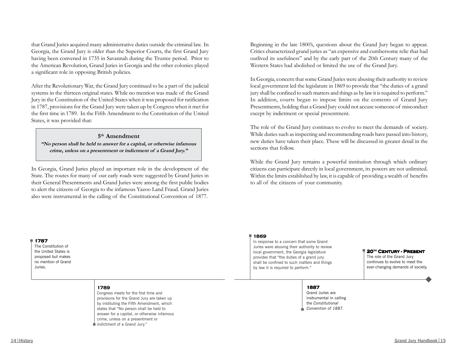that Grand Juries acquired many administrative duties outside the criminal law. In Georgia, the Grand Jury is older than the Superior Courts, the first Grand Jury having been convened in 1735 in Savannah during the Trustee period. Prior to the American Revolution, Grand Juries in Georgia and the other colonies played a significant role in opposing British policies.

After the Revolutionary War, the Grand Jury continued to be a part of the judicial systems in the thirteen original states. While no mention was made of the Grand Jury in the Constitution of the United States when it was proposed for ratification in 1787, provisions for the Grand Jury were taken up by Congress when it met for the first time in 1789. In the Fifth Amendment to the Constitution of the United States, it was provided that:

#### **5th Amendment**

**"No person shall be held to answer for a capital, or otherwise infamous crime, unless on a presentment or indictment of a Grand Jury."**

In Georgia, Grand Juries played an important role in the development of the State. The routes for many of our early roads were suggested by Grand Juries in their General Presentments and Grand Juries were among the first public bodies to alert the citizens of Georgia to the infamous Yazoo Land Fraud. Grand Juries also were instrumental in the calling of the Constitutional Convention of 1877.

Beginning in the late 1800's, questions about the Grand Jury began to appear. Critics characterized grand juries as "an expensive and cumbersome relic that had outlived its usefulness" and by the early part of the 20th Century many of the Western States had abolished or limited the use of the Grand Jury.

In Georgia, concern that some Grand Juries were abusing their authority to review local government led the legislature in 1869 to provide that "the duties of a grand jury shall be confined to such matters and things as by law it is required to perform." In addition, courts began to impose limits on the contents of Grand Jury Presentments, holding that a Grand Jury could not accuse someone of misconduct except by indictment or special presentment.

The role of the Grand Jury continues to evolve to meet the demands of society. While duties such as inspecting and recommending roads have passed into history, new duties have taken their place. These will be discussed in greater detail in the sections that follow.

While the Grand Jury remains a powerful institution through which ordinary citizens can participate directly in local government, its powers are not unlimited. Within the limits established by law, it is capable of providing a wealth of benefits to all of the citizens of your community.

#### **1787**

The Constitution of the United States is proposed but makes no mention of Grand Juries.

#### **1789**

Congress meets for the first time and provisions for the Grand Jury are taken up by instituting the Fifth Amendment, which states that "No person shall be held to answer for a capital, or otherwise infamous crime, unless on a presentment or indictment of a Grand Jury."

#### **1869**

In response to a concern that some Grand Juries were abusing their authority to review local government, the Georgia legislature provides that "the duties of a grand jury shall be confined to such matters and things by law it is required to perform."

**20th Century - Present**

The role of the Grand Jury continues to evolve to meet the ever-changing demands of society.

#### **1887**

Grand Juries are instrumental in calling the *Constitutional Convention of 1887.*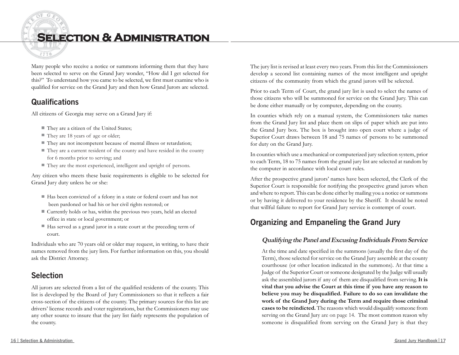**Selection & Administration**

Many people who receive a notice or summons informing them that they have been selected to serve on the Grand Jury wonder, "How did I get selected for this?" To understand how you came to be selected, we first must examine who is qualified for service on the Grand Jury and then how Grand Jurors are selected.

## **Qualifications**

1776

All citizens of Georgia may serve on a Grand Jury if:

- They are a citizen of the United States;
- They are 18 years of age or older;
- They are not incompetent because of mental illness or retardation;
- They are a current resident of the county and have resided in the county for 6 months prior to serving; and
- They are the most experienced, intelligent and upright of persons.

Any citizen who meets these basic requirements is eligible to be selected for Grand Jury duty unless he or she:

- Has been convicted of a felony in a state or federal court and has not been pardoned or had his or her civil rights restored; or
- Currently holds or has, within the previous two years, held an elected office in state or local government; or
- $\blacksquare$  Has served as a grand juror in a state court at the preceding term of court.

Individuals who are 70 years old or older may request, in writing, to have their names removed from the jury lists. For further information on this, you should ask the District Attorney.

## **Selection**

All jurors are selected from a list of the qualified residents of the county. This list is developed by the Board of Jury Commissioners so that it reflects a fair cross-section of the citizens of the county. The primary sources for this list are drivers' license records and voter registrations, but the Commissioners may use any other source to insure that the jury list fairly represents the population of the county.

The jury list is revised at least every two years. From this list the Commissioners develop a second list containing names of the most intelligent and upright citizens of the community from which the grand jurors will be selected.

Prior to each Term of Court, the grand jury list is used to select the names of those citizens who will be summoned for service on the Grand Jury. This can be done either manually or by computer, depending on the county.

In counties which rely on a manual system, the Commissioners take names from the Grand Jury list and place them on slips of paper which are put into the Grand Jury box. The box is brought into open court where a judge of Superior Court draws between 18 and 75 names of persons to be summoned for duty on the Grand Jury.

In counties which use a mechanical or computerized jury selection system, prior to each Term, 18 to 75 names from the grand jury list are selected at random by the computer in accordance with local court rules.

After the prospective grand jurors' names have been selected, the Clerk of the Superior Court is responsible for notifying the prospective grand jurors when and where to report. This can be done either by mailing you a notice or summons or by having it delivered to your residence by the Sheriff. It should be noted that willful failure to report for Grand Jury service is contempt of court.

## **Organizing and Empaneling the Grand Jury**

#### **Qualifying the Panel and Excusing Individuals From Service**

At the time and date specified in the summons (usually the first day of the Term), those selected for service on the Grand Jury assemble at the county courthouse (or other location indicated in the summons). At that time a Judge of the Superior Court or someone designated by the Judge will usually ask the assembled jurors if any of them are disqualified from serving. **It is vital that you advise the Court at this time if you have any reason to believe you may be disqualified. Failure to do so can invalidate the work of the Grand Jury during the Term and require those criminal cases to be reindicted.** The reasons which would disqualify someone from serving on the Grand Jury are on page 14. The most common reason why someone is disqualified from serving on the Grand Jury is that they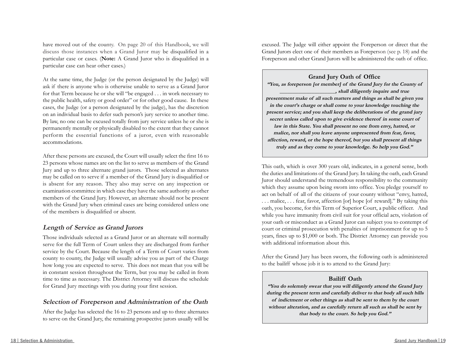have moved out of the county. On page 20 of this Handbook, we will discuss those instances when a Grand Juror may be disqualified in a particular case or cases. (**Note:** A Grand Juror who is disqualified in a particular case can hear other cases.)

At the same time, the Judge (or the person designated by the Judge) will ask if there is anyone who is otherwise unable to serve as a Grand Juror for that Term because he or she will "be engaged . . . in work necessary to the public health, safety or good order" or for other good cause. In these cases, the Judge (or a person designated by the judge), has the discretion on an individual basis to defer such person's jury service to another time. By law, no one can be excused totally from jury service unless he or she is permanently mentally or physically disabled to the extent that they cannot perform the essential functions of a juror, even with reasonable accommodations.

After these persons are excused, the Court will usually select the first 16 to 23 persons whose names are on the list to serve as members of the Grand Jury and up to three alternate grand jurors. Those selected as alternates may be called on to serve if a member of the Grand Jury is disqualified or is absent for any reason. They also may serve on any inspection or examination committee in which case they have the same authority as other members of the Grand Jury. However, an alternate should not be present with the Grand Jury when criminal cases are being considered unless one of the members is disqualified or absent.

#### **Length of Service as Grand Jurors**

Those individuals selected as a Grand Juror or an alternate will normally serve for the full Term of Court unless they are discharged from further service by the Court. Because the length of a Term of Court varies from county to county, the Judge will usually advise you as part of the Charge how long you are expected to serve. This does not mean that you will be in constant session throughout the Term, but you may be called in from time to time as necessary. The District Attorney will discuss the schedule for Grand Jury meetings with you during your first session.

#### **Selection of Foreperson and Administration of the Oath**

After the Judge has selected the 16 to 23 persons and up to three alternates to serve on the Grand Jury, the remaining prospective jurors usually will be excused. The Judge will either appoint the Foreperson or direct that the Grand Jurors elect one of their members as Foreperson (see p. 18) and the Foreperson and other Grand Jurors will be administered the oath of office.

**Grand Jury Oath of Office "You, as foreperson [or member] of the Grand Jury for the County of \_\_\_\_\_\_\_\_\_\_\_\_\_\_\_\_\_\_\_\_\_, shall diligently inquire and true presentment make of all such matters and things as shall be given you in the court's charge or shall come to your knowledge touching the present service; and you shall keep the deliberations of the grand jury secret unless called upon to give evidence thereof in some court of law in this State. You shall present no one from envy, hatred, or malice, nor shall you leave anyone unpresented from fear, favor, affection, reward, or the hope thereof, but you shall present all things truly and as they come to your knowledge. So help you God."**

This oath, which is over 300 years old, indicates, in a general sense, both the duties and limitations of the Grand Jury. In taking the oath, each Grand Juror should understand the tremendous responsibility to the community which they assume upon being sworn into office. You pledge yourself to act on behalf of all of the citizens of your county without "envy, hatred, . . . malice, . . . fear, favor, affection [or] hope [of reward]." By taking this oath, you become, for this Term of Superior Court, a public officer. And while you have immunity from civil suit for your official acts, violation of your oath or misconduct as a Grand Juror can subject you to contempt of court or criminal prosecution with penalties of imprisonment for up to 5 years, fines up to \$1,000 or both. The District Attorney can provide you with additional information about this.

After the Grand Jury has been sworn, the following oath is administered to the bailiff whose job it is to attend to the Grand Jury:

#### **Bailiff Oath**

**"You do solemnly swear that you will diligently attend the Grand Jury during the present term and carefully deliver to that body all such bills of indictment or other things as shall be sent to them by the court without alteration, and as carefully return all such as shall be sent by that body to the court. So help you God."**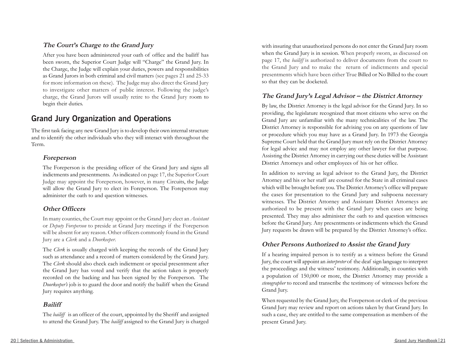#### **The Court's Charge to the Grand Jury**

After you have been administered your oath of office and the bailiff has been sworn, the Superior Court Judge will "Charge" the Grand Jury. In the Charge, the Judge will explain your duties, powers and responsibilities as Grand Jurors in both criminal and civil matters (see pages 21 and 25-33 for more information on these). The Judge may also direct the Grand Jury to investigate other matters of public interest. Following the judge's charge, the Grand Jurors will usually retire to the Grand Jury room to begin their duties.

## **Grand Jury Organization and Operations**

The first task facing any new Grand Jury is to develop their own internal structure and to identify the other individuals who they will interact with throughout the Term.

#### **Foreperson**

The Foreperson is the presiding officer of the Grand Jury and signs all indictments and presentments. As indicated on page 17, the Superior Court Judge may appoint the Foreperson, however, in many Circuits, the Judge will allow the Grand Jury to elect its Foreperson. The Foreperson may administer the oath to and question witnesses.

#### **Other Officers**

In many counties, the Court may appoint or the Grand Jury elect an *Assistant* or *Deputy Foreperson* to preside at Grand Jury meetings if the Foreperson will be absent for any reason. Other officers commonly found in the Grand Jury are a *Clerk* and a *Doorkeeper*.

The *Clerk* is usually charged with keeping the records of the Grand Jury such as attendance and a record of matters considered by the Grand Jury. The *Clerk* should also check each indictment or special presentment after the Grand Jury has voted and verify that the action taken is properly recorded on the backing and has been signed by the Foreperson. The *Doorkeeper's* job is to guard the door and notify the bailiff when the Grand Jury requires anything.

#### **Bailiff**

The *bailiff* is an officer of the court, appointed by the Sheriff and assigned to attend the Grand Jury. The *bailiff* assigned to the Grand Jury is charged with insuring that unauthorized persons do not enter the Grand Jury room when the Grand Jury is in session. When properly sworn, as discussed on page 17, the *bailiff* is authorized to deliver documents from the court to the Grand Jury and to make the return of indictments and special presentments which have been either True Billed or No Billed to the court so that they can be docketed.

#### **The Grand Jury's Legal Advisor – the District Attorney**

By law, the District Attorney is the legal advisor for the Grand Jury. In so providing, the legislature recognized that most citizens who serve on the Grand Jury are unfamiliar with the many technicalities of the law. The District Attorney is responsible for advising you on any questions of law or procedure which you may have as a Grand Jury. In 1973 the Georgia Supreme Court held that the Grand Jury must rely on the District Attorney for legal advice and may not employ any other lawyer for that purpose. Assisting the District Attorney in carrying out these duties will be Assistant District Attorneys and other employees of his or her office.

In addition to serving as legal advisor to the Grand Jury, the District Attorney and his or her staff are counsel for the State in all criminal cases which will be brought before you. The District Attorney's office will prepare the cases for presentation to the Grand Jury and subpoena necessary witnesses. The District Attorney and Assistant District Attorneys are authorized to be present with the Grand Jury when cases are being presented. They may also administer the oath to and question witnesses before the Grand Jury. Any presentments or indictments which the Grand Jury requests be drawn will be prepared by the District Attorney's office.

#### **Other Persons Authorized to Assist the Grand Jury**

If a hearing impaired person is to testify as a witness before the Grand Jury, the court will appoint an *interpreter* of the deaf sign language to interpret the proceedings and the witness' testimony. Additionally, in counties with a population of 150,000 or more, the District Attorney may provide a *stenographer* to record and transcribe the testimony of witnesses before the Grand Jury.

When requested by the Grand Jury, the Foreperson or clerk of the previous Grand Jury may review and report on actions taken by that Grand Jury. In such a case, they are entitled to the same compensation as members of the present Grand Jury.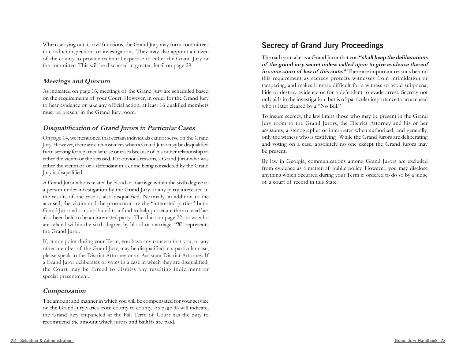When carrying out its civil functions, the Grand Jury may form committees to conduct inspections or investigations. They may also appoint a citizen of the county to provide technical expertise to either the Grand Jury or the committee. This will be discussed in greater detail on page 29.

#### **Meetings and Quorum**

As indicated on page 16, meetings of the Grand Jury are scheduled based on the requirements of your Court. However, in order for the Grand Jury to hear evidence or take any official action, at least 16 qualified members must be present in the Grand Jury room.

#### **Disqualification of Grand Jurors in Particular Cases**

On page 14, we mentioned that certain individuals cannot serve on the Grand Jury. However, there are circumstances when a Grand Juror may be disqualified from serving for a particular case or cases because of his or her relationship to either the victim or the accused. For obvious reasons, a Grand Juror who was either the victim of or a defendant in a crime being considered by the Grand Jury is disqualified.

A Grand Juror who is related by blood or marriage within the sixth degree to a person under investigation by the Grand Jury or any party interested in the results of the case is also disqualified. Normally, in addition to the accused, the victim and the prosecutor are the "interested parties" but a Grand Juror who contributed to a fund to help prosecute the accused has also been held to be an interested party. The chart on page 22 shows who are related within the sixth degree, by blood or marriage. "**X**" represents the Grand Juror.

If, at any point during your Term, you have any concern that you, or any other member of the Grand Jury, may be disqualified in a particular case, please speak to the District Attorney or an Assistant District Attorney. If a Grand Juror deliberates or votes in a case in which they are disqualified, the Court may be forced to dismiss any resulting indictment or special presentment.

#### **Compensation**

The amount and manner in which you will be compensated for your service on the Grand Jury varies from county to county. As page 34 will indicate, the Grand Jury empaneled at the Fall Term of Court has the duty to recommend the amount which jurors and bailiffs are paid.

## **Secrecy of Grand Jury Proceedings**

The oath you take as a Grand Juror that you **"shall keep the deliberations of the grand jury secret unless called upon to give evidence thereof in some court of law of this state."** There are important reasons behind this requirement as secrecy protects witnesses from intimidation or tampering, and makes it more difficult for a witness to avoid subpoena, hide or destroy evidence or for a defendant to evade arrest. Secrecy not only aids in the investigation, but is of particular importance to an accused who is later cleared by a "No Bill."

To insure secrecy, the law limits those who may be present in the Grand Jury room to the Grand Jurors, the District Attorney and his or her assistants, a stenographer or interpreter when authorized, and generally, only the witness who is testifying. While the Grand Jurors are deliberating and voting on a case, absolutely no one except the Grand Jurors may be present.

By law in Georgia, communications among Grand Jurors are excluded from evidence as a matter of public policy. However, you may disclose anything which occurred during your Term if ordered to do so by a judge of a court of record in this State.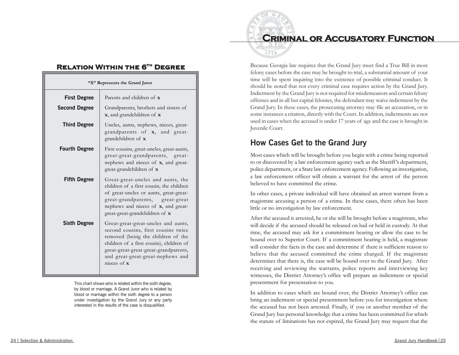### **Relation Within the 6th Degree**

| "X" Represents the Grand Juror |                                                                                                                                                                                                                                                                  |
|--------------------------------|------------------------------------------------------------------------------------------------------------------------------------------------------------------------------------------------------------------------------------------------------------------|
| <b>First Degree</b>            | Parents and children of <b>x</b>                                                                                                                                                                                                                                 |
| <b>Second Degree</b>           | Grandparents, brothers and sisters of<br><b>x</b> , and grandchildren of <b>x</b>                                                                                                                                                                                |
| <b>Third Degree</b>            | Uncles, aunts, nephews, nieces, great-<br>grandparents of <b>x</b> , and great-<br>grandchildren of x                                                                                                                                                            |
| <b>Fourth Degree</b>           | First cousins, great-uncles, great-aunts,<br>great-great-grandparents, great-<br>nephews and nieces of <b>x</b> , and great-<br>great-grandchildren of x                                                                                                         |
| <b>Fifth Degree</b>            | Great-great-uncles and aunts, the<br>children of a first cousin, the children<br>of great-uncles or aunts, great-great-<br>great-grandparents, great-great<br>nephews and nieces of x, and great-<br>great-great-grandchildren of <b>x</b>                       |
| <b>Sixth Degree</b>            | Great-great-great-uncles and aunts,<br>second cousins, first cousins twice<br>removed (being the children of the<br>children of a first cousin), children of<br>great-great-great-great-grandparents,<br>and great-great-great-nephews and<br>nieces of $\bf{x}$ |

This chart shows who is related within the sixth degree, by blood or marriage. A Grand Juror who is related by blood or marriage within the sixth degree to a person under investigation by the Grand Jury or any party interested in the results of the case is disqualified.

## **Criminal or Accusatory Function**



Because Georgia law requires that the Grand Jury must find a True Bill in most felony cases before the case may be brought to trial, a substantial amount of your time will be spent inquiring into the existence of possible criminal conduct. It should be noted that not every criminal case requires action by the Grand Jury. Indictment by the Grand Jury is not required for misdemeanors and certain felony offenses and in all but capital felonies, the defendant may waive indictment by the Grand Jury. In these cases, the prosecuting attorney may file an accusation, or in some instances a citation, directly with the Court. In addition, indictments are not used in cases when the accused is under 17 years of age and the case is brought in Juvenile Court.

## **How Cases Get to the Grand Jury**

Most cases which will be brought before you begin with a crime being reported to or discovered by a law enforcement agency such as the Sheriff 's department, police department, or a State law enforcement agency. Following an investigation, a law enforcement officer will obtain a warrant for the arrest of the person believed to have committed the crime.

In other cases, a private individual will have obtained an arrest warrant from a magistrate accusing a person of a crime. In these cases, there often has been little or no investigation by law enforcement.

After the accused is arrested, he or she will be brought before a magistrate, who will decide if the accused should be released on bail or held in custody. At that time, the accused may ask for a commitment hearing or allow the case to be bound over to Superior Court. If a commitment hearing is held, a magistrate will consider the facts in the case and determine if there is sufficient reason to believe that the accused committed the crime charged. If the magistrate determines that there is, the case will be bound over to the Grand Jury. After receiving and reviewing the warrants, police reports and interviewing key witnesses, the District Attorney's office will prepare an indictment or special presentment for presentation to you.

In addition to cases which are bound over, the District Attorney's office can bring an indictment or special presentment before you for investigation where the accused has not been arrested. Finally, if you or another member of the Grand Jury has personal knowledge that a crime has been committed for which the statute of limitations has not expired, the Grand Jury may request that the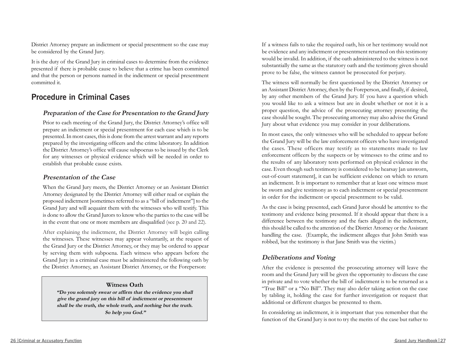District Attorney prepare an indictment or special presentment so the case may be considered by the Grand Jury.

It is the duty of the Grand Jury in criminal cases to determine from the evidence presented if there is probable cause to believe that a crime has been committed and that the person or persons named in the indictment or special presentment committed it.

## **Procedure in Criminal Cases**

#### **Preparation of the Case for Presentation to the Grand Jury**

Prior to each meeting of the Grand Jury, the District Attorney's office will prepare an indictment or special presentment for each case which is to be presented. In most cases, this is done from the arrest warrant and any reports prepared by the investigating officers and the crime laboratory. In addition the District Attorney's office will cause subpoenas to be issued by the Clerk for any witnesses or physical evidence which will be needed in order to establish that probable cause exists.

#### **Presentation of the Case**

When the Grand Jury meets, the District Attorney or an Assistant District Attorney designated by the District Attorney will either read or explain the proposed indictment [sometimes referred to as a "bill of indictment"] to the Grand Jury and will acquaint them with the witnesses who will testify. This is done to allow the Grand Jurors to know who the parties to the case will be in the event that one or more members are disqualified (see p. 20 and 22).

After explaining the indictment, the District Attorney will begin callin g the witnesses. These witnesses may appear voluntarily, at the request of the Grand Jury or the District Attorney, or they may be ordered to appear by serving them with subpoena. Each witness who appears before the Grand Jury in a criminal case must be administered the following oath by the District Attorney, an Assistant District Attorney, or the Foreperson:

#### **Witness Oath**

**"Do you solemnly swear or affirm that the evidence you shall give the grand jury on this bill of indictment or presentment shall be the truth, the whole truth, and nothing but the truth. So help you God."**

If a witness fails to take the required oath, his or her testimony would not be evidence and any indictment or presentment returned on this testimony would be invalid. In addition, if the oath administered to the witness is not substantially the same as the statutory oath and the testimony given should prove to be false, the witness cannot be prosecuted for perjury.

The witness will normally be first questioned by the District Attorney or an Assistant District Attorney, then by the Foreperson, and finally, if desired, by any other members of the Grand Jury. If you have a question which you would like to ask a witness but are in doubt whether or not it is a proper question, the advice of the prosecuting attorney presenting the case should be sought. The prosecuting attorney may also advise the Grand Jury about what evidence you may consider in your deliberations.

In most cases, the only witnesses who will be scheduled to appear before the Grand Jury will be the law enforcement officers who have investigated the cases. These officers may testify as to statements made to law enforcement officers by the suspects or by witnesses to the crime and to the results of any laboratory tests performed on physical evidence in the case. Even though such testimony is considered to be hearsay [an unsworn, out-of-court statement], it can be sufficient evidence on which to return an indictment. It is important to remember that at least one witness must be sworn and give testimony as to each indictment or special presentment in order for the indictment or special presentment to be valid.

As the case is being presented, each Grand Juror should be attentive to the testimony and evidence being presented. If it should appear that there is a difference between the testimony and the facts alleged in the indictment, this should be called to the attention of the District Attorney or the Assistant handling the case. (Example, the indictment alleges that John Smith was robbed, but the testimony is that Jane Smith was the victim.)

#### **Deliberations and Voting**

After the evidence is presented the prosecuting attorney will leave the room and the Grand Jury will be given the opportunity to discuss the case in private and to vote whether the bill of indictment is to be returned as a "True Bill" or a "No Bill". They may also defer taking action on the case by tabling it, holding the case for further investigation or request that additional or different charges be presented to them.

In considering an indictment, it is important that you remember that the function of the Grand Jury is not to try the merits of the case but rather to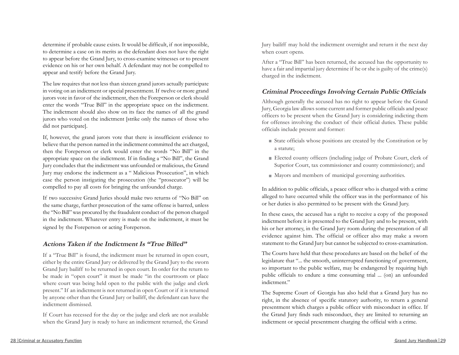determine if probable cause exists. It would be difficult, if not impossible, to determine a case on its merits as the defendant does not have the right to appear before the Grand Jury, to cross-examine witnesses or to present evidence on his or her own behalf. A defendant may not be compelled to appear and testify before the Grand Jury.

The law requires that not less than sixteen grand jurors actually participate in voting on an indictment or special presentment. If twelve or more grand jurors vote in favor of the indictment, then the Foreperson or clerk should enter the words "True Bill" in the appropriate space on the indictment. The indictment should also show on its face the names of all the grand jurors who voted on the indictment [strike only the names of those who did not participate].

If, however, the grand jurors vote that there is insufficient evidence to believe that the person named in the indictment committed the act charged, then the Foreperson or clerk would enter the words "No Bill" in the appropriate space on the indictment. If in finding a "No Bill", the Grand Jury concludes that the indictment was unfounded or malicious, the Grand Jury may endorse the indictment as a " Malicious Prosecution", in which case the person instigating the prosecution (the "prosecutor") will be compelled to pay all costs for bringing the unfounded charge.

If two successive Grand Juries should make two returns of "No Bill" on the same charge, further prosecution of the same offense is barred, unless the "No Bill" was procured by the fraudulent conduct of the person charged in the indictment. Whatever entry is made on the indictment, it must be signed by the Foreperson or acting Foreperson.

#### **Actions Taken if the Indictment Is "True Billed"**

If <sup>a</sup>"True Bill" is found, the indictment must be returned in open court, either by the entire Grand Jury or delivered by the Grand Jury to the sworn Grand Jury bailiff to be returned in open court. In order for the return to be made in "open court" it must be made "in the courtroom or place where court was being held open to the public with the judge and clerk present." If an indictment is not returned in open Court or if it is returned by anyone other than the Grand Jury or bailiff, the defendant can have the indictment dismissed.

If Court has recessed for the day or the judge and clerk are not available when the Grand Jury is ready to have an indictment returned, the Grand

Jury bailiff may hold the indictment overnight and return it the next day when court opens.

After a "True Bill" has been returned, the accused has the opportunity to have a fair and impartial jury determine if he or she is guilty of the crime(s) charged in the indictment.

#### **Criminal Proceedings Involving Certain Public Officials**

Although generally the accused has no right to appear before the Grand Jury, Georgia law allows some current and former public officials and peace officers to be present when the Grand Jury is considering indicting them for offenses involving the conduct of their official duties. These public officials include present and former:

- State officials whose positions are created by the Constitution or by a statute;
- Elected county officers (including judge of Probate Court, clerk of Superior Court, tax commissioner and county commissioner); and
- Mayors and members of municipal governing authorities.

In addition to public officials, a peace officer who is charged with a crime alleged to have occurred while the officer was in the performance of his or her duties is also permitted to be present with the Grand Jury.

In these cases, the accused has a right to receive a copy of the proposed indictment before it is presented to the Grand Jury and to be present, with his or her attorney, in the Grand Jury room during the presentation of all evidence against him. The official or officer also may make a sworn statement to the Grand Jury but cannot be subjected to cross-examination.

The Courts have held that these procedures are based on the belief of the legislature that "... the smooth, uninterrupted functioning of government, so important to the public welfare, may be endangered by requiring high public officials to endure a time consuming trial ... (on) an unfounded indictment."

The Supreme Court of Georgia has also held that a Grand Jury has no right, in the absence of specific statutory authority, to return a general presentment which charges a public officer with misconduct in office. If the Grand Jury finds such misconduct, they are limited to returning an indictment or special presentment charging the official with a crime.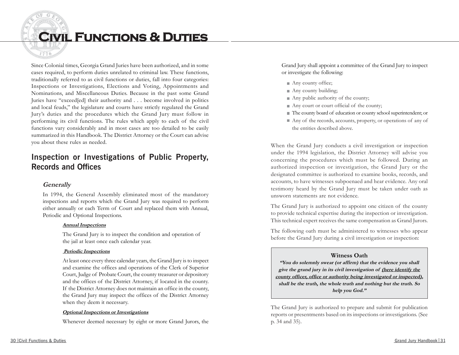

Since Colonial times, Georgia Grand Juries have been authorized, and in some cases required, to perform duties unrelated to criminal law. These functions, traditionally referred to as civil functions or duties, fall into four categories: Inspections or Investigations, Elections and Voting, Appointments and Nominations, and Miscellaneous Duties. Because in the past some Grand Juries have "exceed[ed] their authority and . . . become involved in politics and local feuds," the legislature and courts have strictly regulated the Grand Jury's duties and the procedures which the Grand Jury must follow in performing its civil functions. The rules which apply to each of the civil functions vary considerably and in most cases are too detailed to be easily summarized in this Handbook. The District Attorney or the Court can advise you about these rules as needed.

## **Inspection or Investigations of Public Property, Records and Offices**

#### **Generally**

In 1994, the General Assembly eliminated most of the mandatory inspections and reports which the Grand Jury was required to perform either annually or each Term of Court and replaced them with Annual, Periodic and Optional Inspections.

#### **Annual Inspections**

The Grand Jury is to inspect the condition and operation of the jail at least once each calendar year.

#### **Periodic Inspections**

At least once every three calendar years, the Grand Jury is to inspect and examine the offices and operations of the Clerk of Superior Court, Judge of Probate Court, the county treasurer or depository and the offices of the District Attorney, if located in the county. If the District Attorney does not maintain an office in the county, the Grand Jury may inspect the offices of the District Attorney when they deem it necessary.

#### **Optional Inspections or Investigations**

Whenever deemed necessary by eight or more Grand Jurors, the

Grand Jury shall appoint a committee of the Grand Jury to inspect or investigate the following:

- Any county office;
- Any county building;
- Any public authority of the county;
- Any court or court official of the county;
- The county board of education or county school superintendent; or
- Any of the records, accounts, property, or operations of any of the entities described above.

When the Grand Jury conducts a civil investigation or inspection under the 1994 legislation, the District Attorney will advise you concerning the procedures which must be followed. During an authorized inspection or investigation, the Grand Jury or the designated committee is authorized to examine books, records, and accounts, to have witnesses subpoenaed and hear evidence. Any oral testimony heard by the Grand Jury must be taken under oath as unsworn statements are not evidence.

The Grand Jury is authorized to appoint one citizen of the county to provide technical expertise during the inspection or investigation. This technical expert receives the same compensation as Grand Jurors.

The following oath must be administered to witnesses who appear before the Grand Jury during a civil investigation or inspection:

#### **Witness Oath**

**"You do solemnly swear (or affirm) that the evidence you shall give the grand jury in its civil investigation of (here identify the county officer, office or authority being investigated or inspected), shall be the truth, the whole truth and nothing but the truth. So help you God."**

The Grand Jury is authorized to prepare and submit for publication reports or presentments based on its inspections or investigations. (See p. 34 and 35).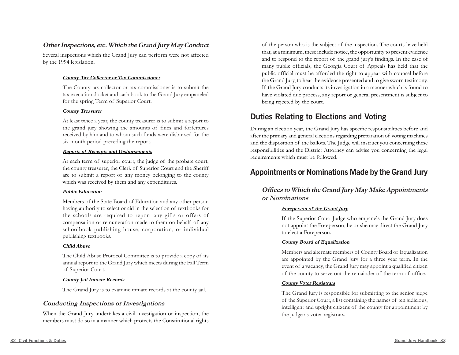#### **Other Inspections, etc. Which the Grand Jury May Conduct**

Several inspections which the Grand Jury can perform were not affected by the 1994 legislation.

#### **County Tax Collector or Tax Commissioner**

The County tax collector or tax commissioner is to submit the tax execution docket and cash book to the Grand Jury empaneled for the spring Term of Superior Court.

#### **County Treasurer**

At least twice a year, the county treasurer is to submit a report to the grand jury showing the amounts of fines and forfeitures received by him and to whom such funds were disbursed for the six month period preceding the report.

#### **Reports of Receipts and Disbursements**

At each term of superior court, the judge of the probate court, the county treasurer, the Clerk of Superior Court and the Sheriff are to submit a report of any money belonging to the county which was received by them and any expenditures.

#### **Public Education**

Members of the State Board of Education and any other person having authority to select or aid in the selection of textbooks for the schools are required to report any gifts or offers of compensation or remuneration made to them on behalf of any schoolbook publishing house, corporation, or individual publishing textbooks.

#### **Child Abuse**

The Child Abuse Protocol Committee is to provide a copy of its annual report to the Grand Jury which meets during the Fall Term of Superior Court.

#### **County Jail Inmate Records**

The Grand Jury is to examine inmate records at the county jail.

#### **Conducting Inspections or Investigations**

When the Grand Jury undertakes a civil investigation or inspection, the members must do so in a manner which protects the Constitutional rights

of the person who is the subject of the inspection. The courts have held that, at a minimum, these include notice, the opportunity to present evidence and to respond to the report of the grand jury's findings. In the case of many public officials, the Georgia Court of Appeals has held that the public official must be afforded the right to appear with counsel before the Grand Jury, to hear the evidence presented and to give sworn testimony. If the Grand Jury conducts its investigation in a manner which is found to have violated due process, any report or general presentment is subject to being rejected by the court.

## **Duties Relating to Elections and Voting**

During an election year, the Grand Jury has specific responsibilities before and after the primary and general elections regarding preparation of voting machines and the disposition of the ballots. The Judge will instruct you concerning these responsibilities and the District Attorney can advise you concerning the legal requirements which must be followed.

## **Appointments or Nominations Made by the Grand Jury**

#### **Offices to Which the Grand Jury May Make Appointments or Nominations**

#### **Foreperson of the Grand Jury**

If the Superior Court Judge who empanels the Grand Jury does not appoint the Foreperson, he or she may direct the Grand Jury to elect a Foreperson.

#### **County Board of Equalization**

Members and alternate members of County Board of Equalization are appointed by the Grand Jury for a three year term. In the event of a vacancy, the Grand Jury may appoint a qualified citizen of the county to serve out the remainder of the term of office.

#### **County Voter Registrars**

The Grand Jury is responsible for submitting to the senior judge of the Superior Court, a list containing the names of ten judicious, intelligent and upright citizens of the county for appointment by the judge as voter registrars.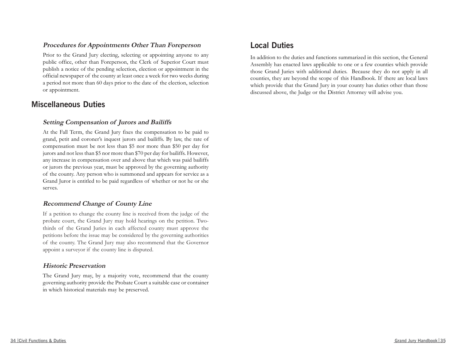#### **Procedures for Appointments Other Than Foreperson**

Prior to the Grand Jury electing, selecting or appointing anyone to any public office, other than Foreperson, the Clerk of Superior Court must publish a notice of the pending selection, election or appointment in the official newspaper of the county at least once a week for two weeks during a period not more than 60 days prior to the date of the election, selection or appointment.

## **Miscellaneous Duties**

#### **Setting Compensation of Jurors and Bailiffs**

At the Fall Term, the Grand Jury fixes the compensation to be paid to grand, petit and coroner's inquest jurors and bailiffs. By law, the rate of compensation must be not less than \$5 nor more than \$50 per day for jurors and not less than \$5 nor more than \$70 per day for bailiffs. However, any increase in compensation over and above that which was paid bailiffs or jurors the previous year, must be approved by the governing authority of the county. Any person who is summoned and appears for service as a Grand Juror is entitled to be paid regardless of whether or not he or she serves.

#### **Recommend Change of County Line**

If a petition to change the county line is received from the judge of the probate court, the Grand Jury may hold hearings on the petition. Twothirds of the Grand Juries in each affected county must approve the petitions before the issue may be considered by the governing authorities of the county. The Grand Jury may also recommend that the Governor appoint a surveyor if the county line is disputed.

#### **Historic Preservation**

The Grand Jury may, by a majority vote, recommend that the county governing authority provide the Probate Court a suitable case or container in which historical materials may be preserved.

## **Local Duties**

In addition to the duties and functions summarized in this section, the General Assembly has enacted laws applicable to one or a few counties which provide those Grand Juries with additional duties. Because they do not apply in all counties, they are beyond the scope of this Handbook. If there are local laws which provide that the Grand Jury in your county has duties other than those discussed above, the Judge or the District Attorney will advise you.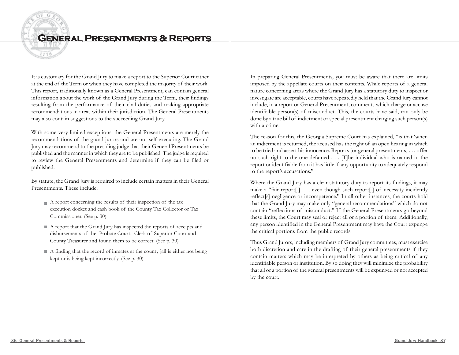## **General Presentments & Reports**

It is customary for the Grand Jury to make a report to the Superior Court either at the end of the Term or when they have completed the majority of their work. This report, traditionally known as a General Presentment, can contain general information about the work of the Grand Jury during the Term, their findings resulting from the performance of their civil duties and making appropriate recommendations in areas within their jurisdiction. The General Presentments may also contain suggestions to the succeeding Grand Jury.

With some very limited exceptions, the General Presentments are merely the recommendations of the grand jurors and are not self-executing. The Grand Jury may recommend to the presiding judge that their General Presentments be published and the manner in which they are to be published. The judge is required to review the General Presentments and determine if they can be filed or published.

By statute, the Grand Jury is required to include certain matters in their General Presentments. These include:

- $\blacksquare$  A report concerning the results of their inspection of the tax execution docket and cash book of the County Tax Collector or Tax Commissioner. (See p. 30)
- A report that the Grand Jury has inspected the reports of receipts and disbursements of the Probate Court, Clerk of Superior Court and County Treasurer and found them to be correct. (See p. 30)
- A finding that the record of inmates at the county jail is either not being kept or is being kept incorrectly. (See p. 30)

In preparing General Presentments, you must be aware that there are limits imposed by the appellate courts on their contents. While reports of a general nature concerning areas where the Grand Jury has a statutory duty to inspect or investigate are acceptable, courts have repeatedly held that the Grand Jury cannot include, in a report or General Presentment, comments which charge or accuse identifiable person(s) of misconduct. This, the courts have said, can only be done by a true bill of indictment or special presentment charging such person(s) with a crime.

The reason for this, the Georgia Supreme Court has explained, "is that 'when an indictment is returned, the accused has the right of an open hearing in which to be tried and assert his innocence. Reports (or general presentments) . . . offer no such right to the one defamed . . . [T]he individual who is named in the report or identifiable from it has little if any opportunity to adequately respond to the report's accusations."

Where the Grand Jury has a clear statutory duty to report its findings, it may make a "fair report[ ] . . . even though such report[ ] of necessity incidently reflect[s] negligence or incompetence." In all other instances, the courts hold that the Grand Jury may make only "general recommendations" which do not contain "reflections of misconduct." If the General Presentments go beyond these limits, the Court may seal or reject all or a portion of them. Additionally, any person identified in the General Presentment may have the Court expunge the critical portions from the public records.

Thus Grand Jurors, including members of Grand Jury committees, must exercise both discretion and care in the drafting of their general presentments if they contain matters which may be interpreted by others as being critical of any identifiable person or institution. By so doing they will minimize the probability that all or a portion of the general presentments will be expunged or not accepted by the court.

1776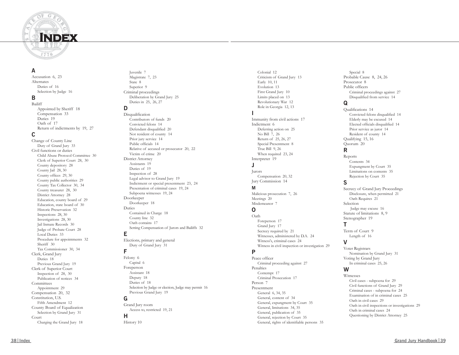

#### **A**

Accusation 6, 23 Alternates Duties of 16 Selection by Judge 16

#### **B**

Bailiff Appointed by Sheriff 18 Compensation 33 Duties 19 Oath of 17 Return of indictments by 19, 27

#### **C**

Change of County Line Duty of Grand Jury 33 Civil functions or duties Child Abuse Protocol Committee 30 Clerk of Superior Court 28, 30 County depository 28 County Jail 28, 30 County offices 29, 30 County public authorities 29 County Tax Collector 30, 34 County treasurer 28, 30 District Attorney 28 Education, county board of 29 Education, state board of 30 Historic Preservation 32 Inspections 28, 30 Investigations 28, 30 Jail Inmate Records 30 Judge of Probate Court 28 Local Duties 33 Procedure for appointments 32 Sheriff 30 Tax Commissioner 30, 34 Clerk, Grand Jury Duties 18 Previous Grand Jury 19 Clerk of Superior Court Inspection of 28, 30 Publication of notices 34 **Committees** Appointment 29 Compensation 20, 32 Constitution, U.S. Fifth Amendment 12 County Board of Equalization Selection by Grand Jury 31 Court Charging the Grand Jury 18

Juvenile 7 Magistrate 7, 23 State 8 Superior 9 Criminal proceedings Deliberation by Grand Jury 25 Duties in 25, 26, 27

#### **D**

Disqualification Contributors of funds 20 Convicted felons 14 Defendant disqualified 20 Not resident of county 14 Prior jury service 14 Public officials 14 Relative of accused or prosecutor 20, <sup>22</sup> Victim of crime 20 District Attorney Assistants 19 Duties of 19 Inspection of 28 Legal advisor to Grand Jury 19 Indictment or special presentment 23, 24 Presentation of criminal cases 19, 24 Subpoena witnesses 19, 24 Doorkeeper Doorkeeper 18 Duties Contained in Charge 18 County line 32 Oath contains 17 Setting Compensation of Jurors and Bailiffs 32

#### **E**

Elections, primary and general Duty of Grand Jury 31

#### **F**

Felony 6 Capital 6 Foreperson Assistant 18 Deputy 18 Duties of 18 Selection by Judge or election, Judge may permit 16 Previous Grand Jury 19

#### **G**

Grand Jury room Access to, restricted 19, 21 **H** History 10

Colonial 12 Criticism of Grand Jury 13 Early 10, 11 Evolution 13 First Grand Jury 10 Limits placed on 13 Revolutionary War 12 Role in Georgia 12, 13

#### **I**

Immunity from civil actions 17 Indictment 6 Deferring action on 25 No Bill 7, 26 Return of 25, 26, 27 Special Presentment 8 True Bill 9, 26 When required 23, 24 Interpreter 19 **J**

Jurors Compensation 20, 32 Jury Commission 14

#### **M**

Malicious prosecution 7, 26 Meetings 20 Misdemeanor 7

#### **O**

Oath Foreperson 17 Grand Jury 17 Secrecy required by 21 Witnesses, administered by D.A. 24 Witness's, criminal cases 24 Witness in civil inspection or investigation 29

#### **P**

Peace officer Criminal proceeding against 27 Penalties Contempt 17 Criminal Prosecution 17 Person 7 Presentment General 6, 34, 35 General, content of 34 General, expungment by Court 35 General, limitations 34, 35 General, publication of 35 General, rejection by Court 35 General, rights of identifiable persons 35

Special 8 Probable Cause 8, 24, 26 Prosecutor 8 Public officers Criminal proceedings against 27 Disqualified from service 14

#### **Q**

Qualifications 14 Convicted felons disqualified 14 Elderly may be excused 14 Elected officials disqualified 14 Prior service as juror 14 Resident of county 14 Qualifying 15, 16 Quorum 20

**R**

Reports Contents 34 Expungment by Court 35 Limitations on contents 35 Rejection by Court 35

#### **S**

Secrecy of Grand Jury Proceedings Disclosure, when permitted 21 Oath Requires 21 Selection Judge may excuse 16 Statute of limitations 8, 9 Stenographer 19

#### **T**

Term of Court 9 Length of 16 **V**

Voter Registrars Nomination by Grand Jury 31 Voting by Grand Jury In criminal cases 25, 26

#### **W**

Witnesses Civil cases - subpoena for 29 Civil functions of Grand Jury 29 Criminal cases - subpoena for 24 Examination of in criminal cases 25 Oath in civil cases 29 Oath in civil inspections or investigations 29 Oath in criminal cases 24 Questioning by District Attorney 25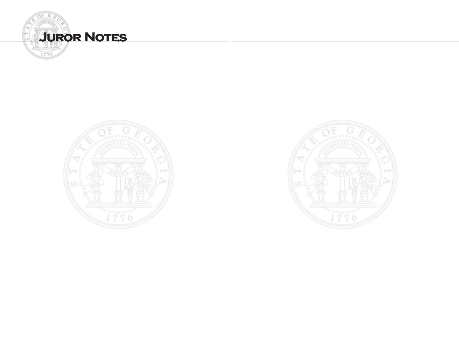



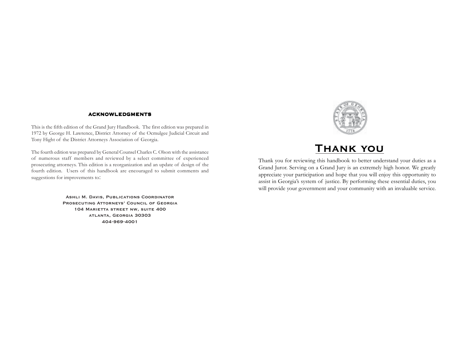#### **ACKNOWLEDGMENTS**

This is the fifth edition of the Grand Jury Handbook. The first edition was prepared in 1972 by George H. Lawrence, District Attorney of the Ocmulgee Judicial Circuit and Tony Hight of the District Attorneys Association of Georgia.

The fourth edition was prepared by General Counsel Charles C. Olson with the assistance of numerous staff members and reviewed by a select committee of experienced prosecuting attorneys. This edition is a reorganization and an update of design of the fourth edition. Users of this handbook are encouraged to submit comments and suggestions for improvements to:

> **Ashli M. Davis, Publications Coordinator Prosecuting Attorneys' Council of Georgia 104 Marietta street nw, suite 400 atlanta, Georgia 30303 404-969-4001**



## **Thank you**

Thank you for reviewing this handbook to better understand your duties as a Grand Juror. Serving on a Grand Jury is an extremely high honor. We greatly appreciate your participation and hope that you will enjoy this opportunity to assist in Georgia's system of justice. By performing these essential duties, you will provide your government and your community with an invaluable service.